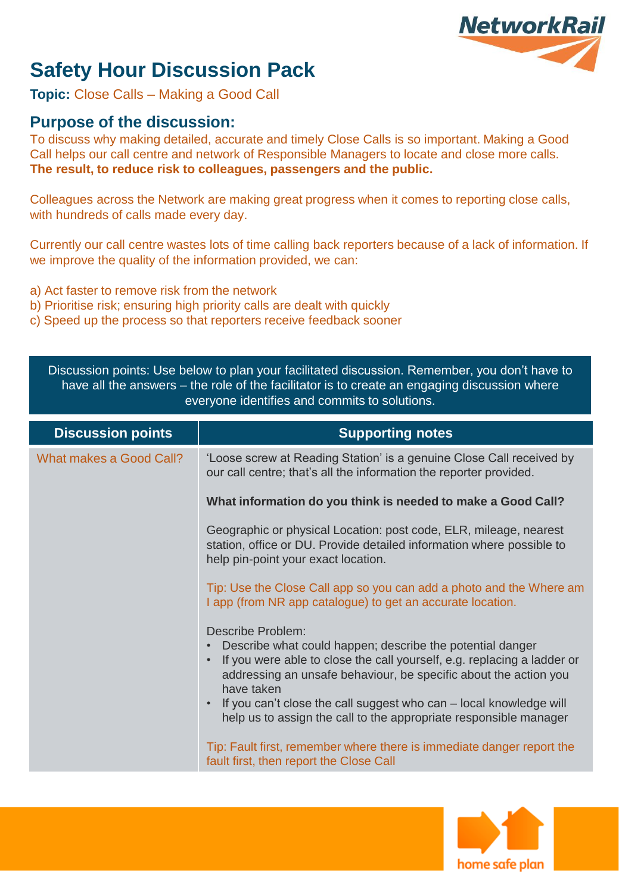# **NetworkRail**

## **Safety Hour Discussion Pack**

**Topic:** Close Calls – Making a Good Call

### **Purpose of the discussion:**

To discuss why making detailed, accurate and timely Close Calls is so important. Making a Good Call helps our call centre and network of Responsible Managers to locate and close more calls. **The result, to reduce risk to colleagues, passengers and the public.**

Colleagues across the Network are making great progress when it comes to reporting close calls, with hundreds of calls made every day.

Currently our call centre wastes lots of time calling back reporters because of a lack of information. If we improve the quality of the information provided, we can:

- a) Act faster to remove risk from the network
- b) Prioritise risk; ensuring high priority calls are dealt with quickly
- c) Speed up the process so that reporters receive feedback sooner

| Discussion points: Use below to plan your facilitated discussion. Remember, you don't have to<br>have all the answers – the role of the facilitator is to create an engaging discussion where<br>everyone identifies and commits to solutions. |                                                                                                                                                                                                                                                                                                                                                                                                                                                                                                                         |  |
|------------------------------------------------------------------------------------------------------------------------------------------------------------------------------------------------------------------------------------------------|-------------------------------------------------------------------------------------------------------------------------------------------------------------------------------------------------------------------------------------------------------------------------------------------------------------------------------------------------------------------------------------------------------------------------------------------------------------------------------------------------------------------------|--|
| <b>Discussion points</b>                                                                                                                                                                                                                       | <b>Supporting notes</b>                                                                                                                                                                                                                                                                                                                                                                                                                                                                                                 |  |
| What makes a Good Call?                                                                                                                                                                                                                        | 'Loose screw at Reading Station' is a genuine Close Call received by<br>our call centre; that's all the information the reporter provided.                                                                                                                                                                                                                                                                                                                                                                              |  |
|                                                                                                                                                                                                                                                | What information do you think is needed to make a Good Call?                                                                                                                                                                                                                                                                                                                                                                                                                                                            |  |
|                                                                                                                                                                                                                                                | Geographic or physical Location: post code, ELR, mileage, nearest<br>station, office or DU. Provide detailed information where possible to<br>help pin-point your exact location.                                                                                                                                                                                                                                                                                                                                       |  |
|                                                                                                                                                                                                                                                | Tip: Use the Close Call app so you can add a photo and the Where am<br>I app (from NR app catalogue) to get an accurate location.                                                                                                                                                                                                                                                                                                                                                                                       |  |
|                                                                                                                                                                                                                                                | Describe Problem:<br>Describe what could happen; describe the potential danger<br>If you were able to close the call yourself, e.g. replacing a ladder or<br>addressing an unsafe behaviour, be specific about the action you<br>have taken<br>If you can't close the call suggest who can - local knowledge will<br>$\bullet$<br>help us to assign the call to the appropriate responsible manager<br>Tip: Fault first, remember where there is immediate danger report the<br>fault first, then report the Close Call |  |